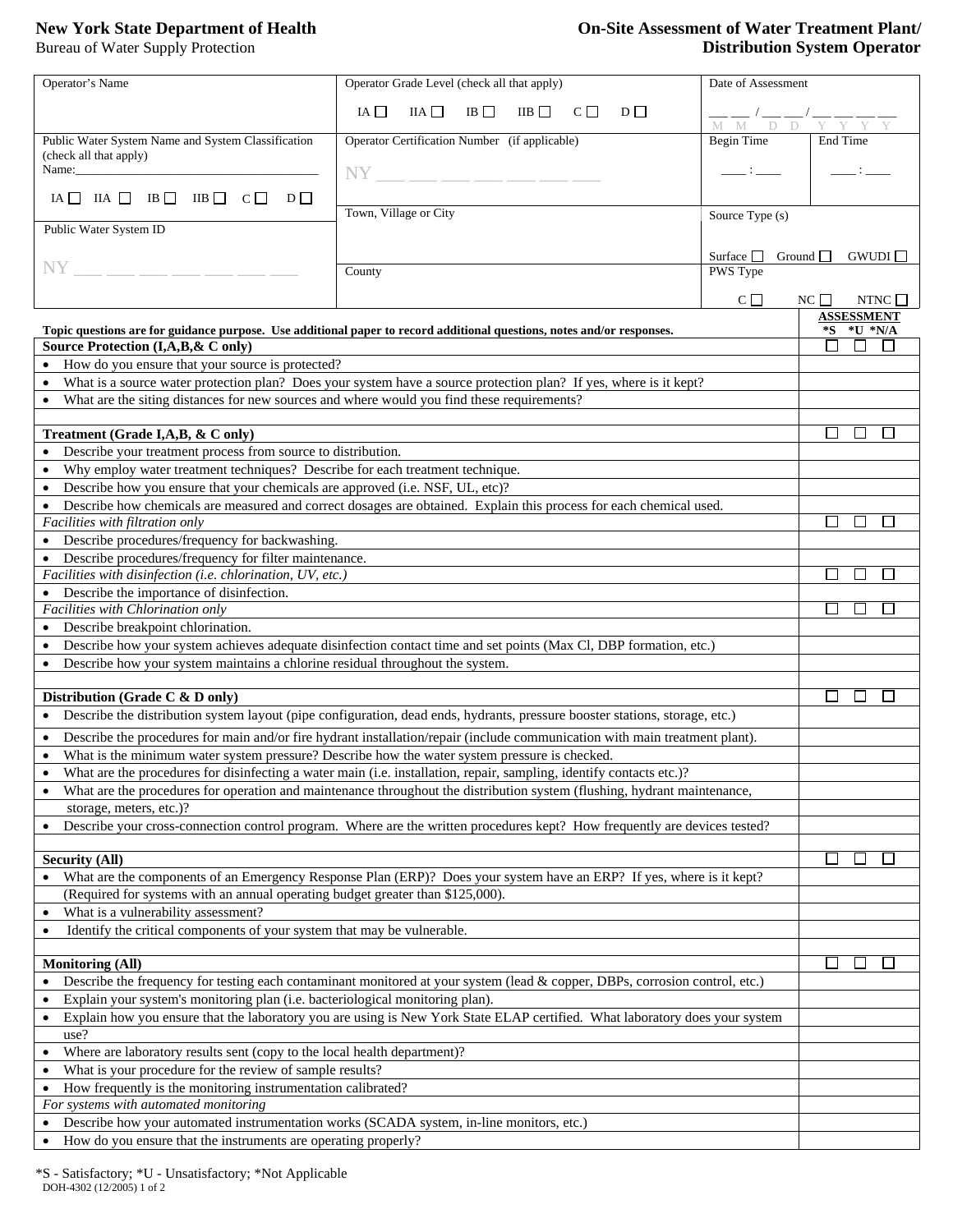# **New York State Department of Health On-Site Assessment of Water Treatment Plant/ Bureau of Water Supply Protection On-Site Assessment of Water Treatment Plant/ Distribution System Operator Distribution System Operator**

| Operator's Name                                                                                                                                                                                                              | Operator Grade Level (check all that apply)                                                                            | Date of Assessment                      |                        |  |  |
|------------------------------------------------------------------------------------------------------------------------------------------------------------------------------------------------------------------------------|------------------------------------------------------------------------------------------------------------------------|-----------------------------------------|------------------------|--|--|
|                                                                                                                                                                                                                              | $IA \Box$<br>IIA<br>IIB                                                                                                |                                         |                        |  |  |
|                                                                                                                                                                                                                              | IB<br>$C \Box$<br>$D \Box$                                                                                             |                                         |                        |  |  |
| Public Water System Name and System Classification                                                                                                                                                                           | Operator Certification Number (if applicable)                                                                          | Begin Time                              | End Time               |  |  |
| (check all that apply)                                                                                                                                                                                                       |                                                                                                                        |                                         |                        |  |  |
| Name: $\frac{1}{\sqrt{1-\frac{1}{2}}}\left\{ \frac{1}{2}, \frac{1}{2}, \frac{1}{2}, \frac{1}{2}, \frac{1}{2}\right\}$                                                                                                        | $NY \_$ _ _ _ _ _ _ _ _ _ _ _                                                                                          |                                         |                        |  |  |
| IA $\Box$ IIA $\Box$ IB $\Box$ IIB $\Box$ C $\Box$ D $\Box$                                                                                                                                                                  |                                                                                                                        |                                         |                        |  |  |
|                                                                                                                                                                                                                              | Town, Village or City                                                                                                  | Source Type (s)                         |                        |  |  |
| Public Water System ID                                                                                                                                                                                                       |                                                                                                                        |                                         |                        |  |  |
|                                                                                                                                                                                                                              |                                                                                                                        |                                         |                        |  |  |
| NY.                                                                                                                                                                                                                          |                                                                                                                        | Surface $\Box$ Ground $\Box$<br>GWUDI   |                        |  |  |
|                                                                                                                                                                                                                              | County                                                                                                                 | PWS Type                                |                        |  |  |
|                                                                                                                                                                                                                              |                                                                                                                        | $NC \Box$<br>$C \Box$<br>NTNC $\square$ |                        |  |  |
|                                                                                                                                                                                                                              |                                                                                                                        |                                         | <b>ASSESSMENT</b>      |  |  |
|                                                                                                                                                                                                                              | Topic questions are for guidance purpose. Use additional paper to record additional questions, notes and/or responses. |                                         | $*U * N/A$<br>*S       |  |  |
| Source Protection (I,A,B,& C only)                                                                                                                                                                                           |                                                                                                                        |                                         | П<br>$\perp$           |  |  |
| How do you ensure that your source is protected?                                                                                                                                                                             |                                                                                                                        |                                         |                        |  |  |
|                                                                                                                                                                                                                              | What is a source water protection plan? Does your system have a source protection plan? If yes, where is it kept?      |                                         |                        |  |  |
| What are the siting distances for new sources and where would you find these requirements?                                                                                                                                   |                                                                                                                        |                                         |                        |  |  |
|                                                                                                                                                                                                                              |                                                                                                                        |                                         |                        |  |  |
| Treatment (Grade I,A,B, & C only)                                                                                                                                                                                            |                                                                                                                        |                                         | $\mathsf{L}$<br>$\sim$ |  |  |
| Describe your treatment process from source to distribution.                                                                                                                                                                 |                                                                                                                        |                                         |                        |  |  |
| • Why employ water treatment techniques? Describe for each treatment technique.                                                                                                                                              |                                                                                                                        |                                         |                        |  |  |
| • Describe how you ensure that your chemicals are approved (i.e. NSF, UL, etc)?                                                                                                                                              |                                                                                                                        |                                         |                        |  |  |
|                                                                                                                                                                                                                              | • Describe how chemicals are measured and correct dosages are obtained. Explain this process for each chemical used.   |                                         |                        |  |  |
| Facilities with filtration only                                                                                                                                                                                              |                                                                                                                        |                                         |                        |  |  |
| Describe procedures/frequency for backwashing.                                                                                                                                                                               |                                                                                                                        |                                         |                        |  |  |
| • Describe procedures/frequency for filter maintenance.                                                                                                                                                                      |                                                                                                                        |                                         |                        |  |  |
| Facilities with disinfection (i.e. chlorination, UV, etc.)                                                                                                                                                                   |                                                                                                                        |                                         | $\mathbf{I}$           |  |  |
| • Describe the importance of disinfection.                                                                                                                                                                                   |                                                                                                                        |                                         |                        |  |  |
| Facilities with Chlorination only                                                                                                                                                                                            |                                                                                                                        |                                         |                        |  |  |
| • Describe breakpoint chlorination.                                                                                                                                                                                          |                                                                                                                        |                                         |                        |  |  |
| Describe how your system achieves adequate disinfection contact time and set points (Max Cl, DBP formation, etc.)                                                                                                            |                                                                                                                        |                                         |                        |  |  |
| Describe how your system maintains a chlorine residual throughout the system.                                                                                                                                                |                                                                                                                        |                                         |                        |  |  |
|                                                                                                                                                                                                                              |                                                                                                                        |                                         |                        |  |  |
| Distribution (Grade C & D only)                                                                                                                                                                                              |                                                                                                                        |                                         |                        |  |  |
| • Describe the distribution system layout (pipe configuration, dead ends, hydrants, pressure booster stations, storage, etc.)                                                                                                |                                                                                                                        |                                         |                        |  |  |
|                                                                                                                                                                                                                              |                                                                                                                        |                                         |                        |  |  |
| Describe the procedures for main and/or fire hydrant installation/repair (include communication with main treatment plant).<br>What is the minimum water system pressure? Describe how the water system pressure is checked. |                                                                                                                        |                                         |                        |  |  |
|                                                                                                                                                                                                                              |                                                                                                                        |                                         |                        |  |  |
| What are the procedures for disinfecting a water main (i.e. installation, repair, sampling, identify contacts etc.)?                                                                                                         |                                                                                                                        |                                         |                        |  |  |
| What are the procedures for operation and maintenance throughout the distribution system (flushing, hydrant maintenance,                                                                                                     |                                                                                                                        |                                         |                        |  |  |
| storage, meters, etc.)?<br>Describe your cross-connection control program. Where are the written procedures kept? How frequently are devices tested?                                                                         |                                                                                                                        |                                         |                        |  |  |
| $\bullet$                                                                                                                                                                                                                    |                                                                                                                        |                                         |                        |  |  |
| <b>Security (All)</b>                                                                                                                                                                                                        |                                                                                                                        |                                         |                        |  |  |
|                                                                                                                                                                                                                              | What are the components of an Emergency Response Plan (ERP)? Does your system have an ERP? If yes, where is it kept?   |                                         |                        |  |  |
| (Required for systems with an annual operating budget greater than \$125,000).                                                                                                                                               |                                                                                                                        |                                         |                        |  |  |
| What is a vulnerability assessment?                                                                                                                                                                                          |                                                                                                                        |                                         |                        |  |  |
| Identify the critical components of your system that may be vulnerable.                                                                                                                                                      |                                                                                                                        |                                         |                        |  |  |
| $\bullet$                                                                                                                                                                                                                    |                                                                                                                        |                                         |                        |  |  |
| <b>Monitoring (All)</b>                                                                                                                                                                                                      |                                                                                                                        |                                         |                        |  |  |
|                                                                                                                                                                                                                              |                                                                                                                        |                                         |                        |  |  |
| Describe the frequency for testing each contaminant monitored at your system (lead & copper, DBPs, corrosion control, etc.)<br>Explain your system's monitoring plan (i.e. bacteriological monitoring plan).                 |                                                                                                                        |                                         |                        |  |  |
|                                                                                                                                                                                                                              |                                                                                                                        |                                         |                        |  |  |
| Explain how you ensure that the laboratory you are using is New York State ELAP certified. What laboratory does your system<br>use?                                                                                          |                                                                                                                        |                                         |                        |  |  |
| $\bullet$                                                                                                                                                                                                                    |                                                                                                                        |                                         |                        |  |  |
| Where are laboratory results sent (copy to the local health department)?<br>What is your procedure for the review of sample results?                                                                                         |                                                                                                                        |                                         |                        |  |  |
| How frequently is the monitoring instrumentation calibrated?<br>$\bullet$                                                                                                                                                    |                                                                                                                        |                                         |                        |  |  |
| For systems with automated monitoring                                                                                                                                                                                        |                                                                                                                        |                                         |                        |  |  |
| Describe how your automated instrumentation works (SCADA system, in-line monitors, etc.)                                                                                                                                     |                                                                                                                        |                                         |                        |  |  |
| $\bullet$                                                                                                                                                                                                                    |                                                                                                                        |                                         |                        |  |  |
| How do you ensure that the instruments are operating properly?<br>$\bullet$                                                                                                                                                  |                                                                                                                        |                                         |                        |  |  |